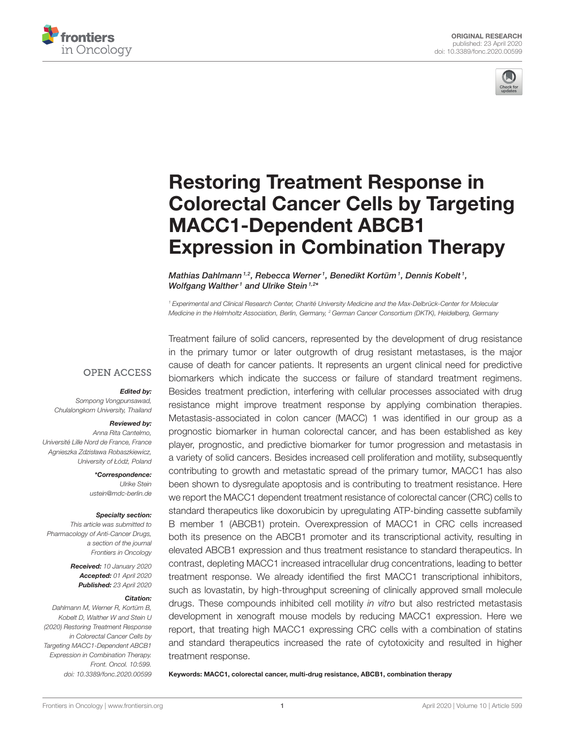



# Restoring Treatment Response in [Colorectal Cancer Cells by Targeting](https://www.frontiersin.org/articles/10.3389/fonc.2020.00599/full) MACC1-Dependent ABCB1 Expression in Combination Therapy

[Mathias Dahlmann](http://loop.frontiersin.org/people/786896/overview)<sup>1,2</sup>, Rebecca Werner<sup>1</sup>, [Benedikt Kortüm](http://loop.frontiersin.org/people/934755/overview)<sup>1</sup>, [Dennis Kobelt](http://loop.frontiersin.org/people/778262/overview)<sup>1</sup>, [Wolfgang Walther](http://loop.frontiersin.org/people/32175/overview)<sup>1</sup> and [Ulrike Stein](http://loop.frontiersin.org/people/32174/overview)<sup>1,2\*</sup>

<sup>1</sup> Experimental and Clinical Research Center, Charité University Medicine and the Max-Delbrück-Center for Molecular Medicine in the Helmholtz Association, Berlin, Germany, <sup>2</sup> German Cancer Consortium (DKTK), Heidelberg, Germany

#### **OPEN ACCESS**

#### Edited by:

Sompong Vongpunsawad, Chulalongkorn University, Thailand

#### Reviewed by:

Anna Rita Cantelmo, Université Lille Nord de France, France Agnieszka Zdzisława Robaszkiewicz, University of Łódź, Poland

> \*Correspondence: Ulrike Stein [ustein@mdc-berlin.de](mailto:ustein@mdc-berlin.de)

#### Specialty section:

This article was submitted to Pharmacology of Anti-Cancer Drugs, a section of the journal Frontiers in Oncology

> Received: 10 January 2020 Accepted: 01 April 2020 Published: 23 April 2020

#### Citation:

Dahlmann M, Werner R, Kortüm B, Kobelt D, Walther W and Stein U (2020) Restoring Treatment Response in Colorectal Cancer Cells by Targeting MACC1-Dependent ABCB1 Expression in Combination Therapy. Front. Oncol. 10:599. doi: [10.3389/fonc.2020.00599](https://doi.org/10.3389/fonc.2020.00599) Treatment failure of solid cancers, represented by the development of drug resistance in the primary tumor or later outgrowth of drug resistant metastases, is the major cause of death for cancer patients. It represents an urgent clinical need for predictive biomarkers which indicate the success or failure of standard treatment regimens. Besides treatment prediction, interfering with cellular processes associated with drug resistance might improve treatment response by applying combination therapies. Metastasis-associated in colon cancer (MACC) 1 was identified in our group as a prognostic biomarker in human colorectal cancer, and has been established as key player, prognostic, and predictive biomarker for tumor progression and metastasis in a variety of solid cancers. Besides increased cell proliferation and motility, subsequently contributing to growth and metastatic spread of the primary tumor, MACC1 has also been shown to dysregulate apoptosis and is contributing to treatment resistance. Here we report the MACC1 dependent treatment resistance of colorectal cancer (CRC) cells to standard therapeutics like doxorubicin by upregulating ATP-binding cassette subfamily B member 1 (ABCB1) protein. Overexpression of MACC1 in CRC cells increased both its presence on the ABCB1 promoter and its transcriptional activity, resulting in elevated ABCB1 expression and thus treatment resistance to standard therapeutics. In contrast, depleting MACC1 increased intracellular drug concentrations, leading to better treatment response. We already identified the first MACC1 transcriptional inhibitors, such as lovastatin, by high-throughput screening of clinically approved small molecule drugs. These compounds inhibited cell motility in vitro but also restricted metastasis development in xenograft mouse models by reducing MACC1 expression. Here we report, that treating high MACC1 expressing CRC cells with a combination of statins and standard therapeutics increased the rate of cytotoxicity and resulted in higher treatment response.

Keywords: MACC1, colorectal cancer, multi-drug resistance, ABCB1, combination therapy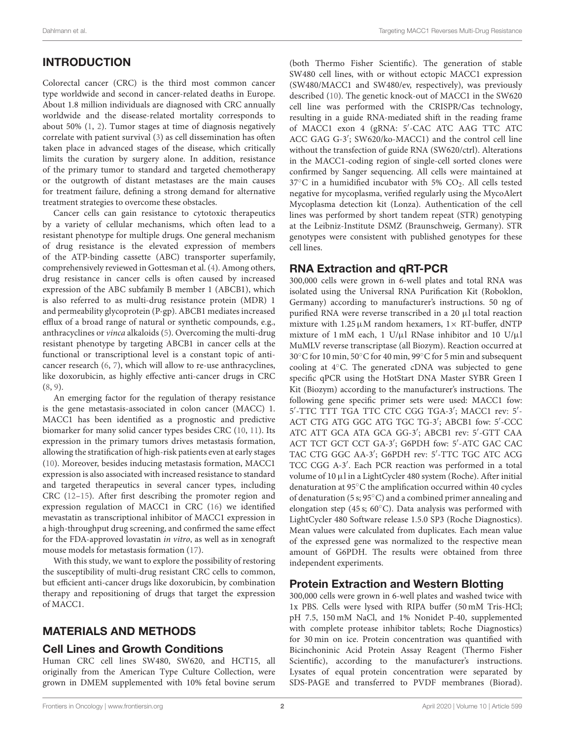# INTRODUCTION

Colorectal cancer (CRC) is the third most common cancer type worldwide and second in cancer-related deaths in Europe. About 1.8 million individuals are diagnosed with CRC annually worldwide and the disease-related mortality corresponds to about 50% [\(1,](#page-7-0) [2\)](#page-7-1). Tumor stages at time of diagnosis negatively correlate with patient survival [\(3\)](#page-7-2) as cell dissemination has often taken place in advanced stages of the disease, which critically limits the curation by surgery alone. In addition, resistance of the primary tumor to standard and targeted chemotherapy or the outgrowth of distant metastases are the main causes for treatment failure, defining a strong demand for alternative treatment strategies to overcome these obstacles.

Cancer cells can gain resistance to cytotoxic therapeutics by a variety of cellular mechanisms, which often lead to a resistant phenotype for multiple drugs. One general mechanism of drug resistance is the elevated expression of members of the ATP-binding cassette (ABC) transporter superfamily, comprehensively reviewed in Gottesman et al. [\(4\)](#page-7-3). Among others, drug resistance in cancer cells is often caused by increased expression of the ABC subfamily B member 1 (ABCB1), which is also referred to as multi-drug resistance protein (MDR) 1 and permeability glycoprotein (P-gp). ABCB1 mediates increased efflux of a broad range of natural or synthetic compounds, e.g., anthracyclines or vinca alkaloids [\(5\)](#page-7-4). Overcoming the multi-drug resistant phenotype by targeting ABCB1 in cancer cells at the functional or transcriptional level is a constant topic of anticancer research [\(6,](#page-7-5) [7\)](#page-7-6), which will allow to re-use anthracyclines, like doxorubicin, as highly effective anti-cancer drugs in CRC [\(8,](#page-7-7) [9\)](#page-7-8).

An emerging factor for the regulation of therapy resistance is the gene metastasis-associated in colon cancer (MACC) 1. MACC1 has been identified as a prognostic and predictive biomarker for many solid cancer types besides CRC [\(10,](#page-7-9) [11\)](#page-7-10). Its expression in the primary tumors drives metastasis formation, allowing the stratification of high-risk patients even at early stages [\(10\)](#page-7-9). Moreover, besides inducing metastasis formation, MACC1 expression is also associated with increased resistance to standard and targeted therapeutics in several cancer types, including CRC [\(12–](#page-7-11)[15\)](#page-7-12). After first describing the promoter region and expression regulation of MACC1 in CRC [\(16\)](#page-7-13) we identified mevastatin as transcriptional inhibitor of MACC1 expression in a high-throughput drug screening, and confirmed the same effect for the FDA-approved lovastatin in vitro, as well as in xenograft mouse models for metastasis formation [\(17\)](#page-7-14).

With this study, we want to explore the possibility of restoring the susceptibility of multi-drug resistant CRC cells to common, but efficient anti-cancer drugs like doxorubicin, by combination therapy and repositioning of drugs that target the expression of MACC1.

# MATERIALS AND METHODS

## Cell Lines and Growth Conditions

Human CRC cell lines SW480, SW620, and HCT15, all originally from the American Type Culture Collection, were grown in DMEM supplemented with 10% fetal bovine serum (both Thermo Fisher Scientific). The generation of stable SW480 cell lines, with or without ectopic MACC1 expression (SW480/MACC1 and SW480/ev, respectively), was previously described [\(10\)](#page-7-9). The genetic knock-out of MACC1 in the SW620 cell line was performed with the CRISPR/Cas technology, resulting in a guide RNA-mediated shift in the reading frame of MACC1 exon 4 (gRNA: 5′ -CAC ATC AAG TTC ATC ACC GAG G-3′ ; SW620/ko-MACC1) and the control cell line without the transfection of guide RNA (SW620/ctrl). Alterations in the MACC1-coding region of single-cell sorted clones were confirmed by Sanger sequencing. All cells were maintained at  $37^{\circ}$ C in a humidified incubator with 5% CO<sub>2</sub>. All cells tested negative for mycoplasma, verified regularly using the MycoAlert Mycoplasma detection kit (Lonza). Authentication of the cell lines was performed by short tandem repeat (STR) genotyping at the Leibniz-Institute DSMZ (Braunschweig, Germany). STR genotypes were consistent with published genotypes for these cell lines.

# RNA Extraction and qRT-PCR

300,000 cells were grown in 6-well plates and total RNA was isolated using the Universal RNA Purification Kit (Roboklon, Germany) according to manufacturer's instructions. 50 ng of purified RNA were reverse transcribed in a 20 µl total reaction mixture with  $1.25 \mu M$  random hexamers,  $1 \times RT$ -buffer, dNTP mixture of 1 mM each, 1 U/ $\mu$ l RNase inhibitor and 10 U/ $\mu$ l MuMLV reverse transcriptase (all Biozym). Reaction occurred at 30◦C for 10 min, 50◦C for 40 min, 99◦C for 5 min and subsequent cooling at 4◦C. The generated cDNA was subjected to gene specific qPCR using the HotStart DNA Master SYBR Green I Kit (Biozym) according to the manufacturer's instructions. The following gene specific primer sets were used: MACC1 fow: 5 ′ -TTC TTT TGA TTC CTC CGG TGA-3′ ; MACC1 rev: 5′ - ACT CTG ATG GGC ATG TGC TG-3′ ; ABCB1 fow: 5′ -CCC ATC ATT GCA ATA GCA GG-3′ ; ABCB1 rev: 5′ -GTT CAA ACT TCT GCT CCT GA-3′ ; G6PDH fow: 5′ -ATC GAC CAC TAC CTG GGC AA-3′ ; G6PDH rev: 5′ -TTC TGC ATC ACG TCC CGG A-3′ . Each PCR reaction was performed in a total volume of 10 µl in a LightCycler 480 system (Roche). After initial denaturation at 95◦C the amplification occurred within 40 cycles of denaturation (5 s; 95◦C) and a combined primer annealing and elongation step (45 s; 60◦C). Data analysis was performed with LightCycler 480 Software release 1.5.0 SP3 (Roche Diagnostics). Mean values were calculated from duplicates. Each mean value of the expressed gene was normalized to the respective mean amount of G6PDH. The results were obtained from three independent experiments.

# Protein Extraction and Western Blotting

300,000 cells were grown in 6-well plates and washed twice with 1x PBS. Cells were lysed with RIPA buffer (50 mM Tris-HCl; pH 7.5, 150 mM NaCl, and 1% Nonidet P-40, supplemented with complete protease inhibitor tablets; Roche Diagnostics) for 30 min on ice. Protein concentration was quantified with Bicinchoninic Acid Protein Assay Reagent (Thermo Fisher Scientific), according to the manufacturer's instructions. Lysates of equal protein concentration were separated by SDS-PAGE and transferred to PVDF membranes (Biorad).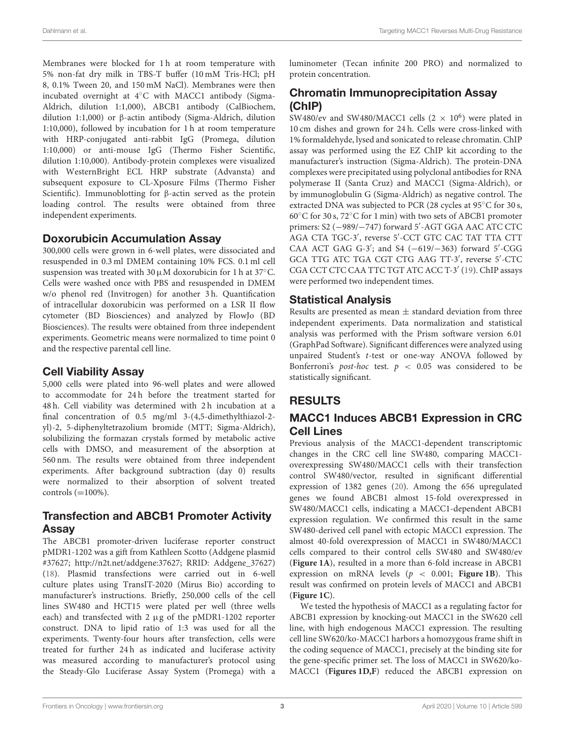Membranes were blocked for 1 h at room temperature with 5% non-fat dry milk in TBS-T buffer (10 mM Tris-HCl; pH 8, 0.1% Tween 20, and 150 mM NaCl). Membranes were then incubated overnight at 4◦C with MACC1 antibody (Sigma-Aldrich, dilution 1:1,000), ABCB1 antibody (CalBiochem, dilution 1:1,000) or β-actin antibody (Sigma-Aldrich, dilution 1:10,000), followed by incubation for 1 h at room temperature with HRP-conjugated anti-rabbit IgG (Promega, dilution 1:10,000) or anti-mouse IgG (Thermo Fisher Scientific, dilution 1:10,000). Antibody-protein complexes were visualized with WesternBright ECL HRP substrate (Advansta) and subsequent exposure to CL-Xposure Films (Thermo Fisher Scientific). Immunoblotting for β-actin served as the protein loading control. The results were obtained from three independent experiments.

## Doxorubicin Accumulation Assay

300,000 cells were grown in 6-well plates, were dissociated and resuspended in 0.3 ml DMEM containing 10% FCS. 0.1 ml cell suspension was treated with 30  $\mu$ M doxorubicin for 1 h at 37°C. Cells were washed once with PBS and resuspended in DMEM w/o phenol red (Invitrogen) for another 3 h. Quantification of intracellular doxorubicin was performed on a LSR II flow cytometer (BD Biosciences) and analyzed by FlowJo (BD Biosciences). The results were obtained from three independent experiments. Geometric means were normalized to time point 0 and the respective parental cell line.

## Cell Viability Assay

5,000 cells were plated into 96-well plates and were allowed to accommodate for 24 h before the treatment started for 48 h. Cell viability was determined with 2 h incubation at a final concentration of 0.5 mg/ml 3-(4,5-dimethylthiazol-2 yl)-2, 5-diphenyltetrazolium bromide (MTT; Sigma-Aldrich), solubilizing the formazan crystals formed by metabolic active cells with DMSO, and measurement of the absorption at 560 nm. The results were obtained from three independent experiments. After background subtraction (day 0) results were normalized to their absorption of solvent treated controls  $(=100\%)$ .

# Transfection and ABCB1 Promoter Activity Assay

The ABCB1 promoter-driven luciferase reporter construct pMDR1-1202 was a gift from Kathleen Scotto (Addgene plasmid #37627; [http://n2t.net/addgene:37627;](http://n2t.net/addgene:37627) RRID: Addgene\_37627) [\(18\)](#page-7-15). Plasmid transfections were carried out in 6-well culture plates using TransIT-2020 (Mirus Bio) according to manufacturer's instructions. Briefly, 250,000 cells of the cell lines SW480 and HCT15 were plated per well (three wells each) and transfected with  $2 \mu$ g of the pMDR1-1202 reporter construct. DNA to lipid ratio of 1:3 was used for all the experiments. Twenty-four hours after transfection, cells were treated for further 24 h as indicated and luciferase activity was measured according to manufacturer's protocol using the Steady-Glo Luciferase Assay System (Promega) with a luminometer (Tecan infinite 200 PRO) and normalized to protein concentration.

# Chromatin Immunoprecipitation Assay (ChIP)

SW480/ev and SW480/MACC1 cells (2  $\times$  10<sup>6</sup>) were plated in 10 cm dishes and grown for 24 h. Cells were cross-linked with 1% formaldehyde, lysed and sonicated to release chromatin. ChIP assay was performed using the EZ ChIP kit according to the manufacturer's instruction (Sigma-Aldrich). The protein-DNA complexes were precipitated using polyclonal antibodies for RNA polymerase II (Santa Cruz) and MACC1 (Sigma-Aldrich), or by immunoglobulin G (Sigma-Aldrich) as negative control. The extracted DNA was subjected to PCR (28 cycles at 95◦C for 30 s, 60◦C for 30 s, 72◦C for 1 min) with two sets of ABCB1 promoter primers: S2 (−989/−747) forward 5′ -AGT GGA AAC ATC CTC AGA CTA TGC-3′ , reverse 5′ -CCT GTC CAC TAT TTA CTT CAA ACT GAG G-3′ ; and S4 (−619/−363) forward 5′ -CGG GCA TTG ATC TGA CGT CTG AAG TT-3′ , reverse 5′ -CTC CGA CCT CTC CAA TTC TGT ATC ACC T-3' [\(19\)](#page-8-0). ChIP assays were performed two independent times.

## Statistical Analysis

Results are presented as mean  $\pm$  standard deviation from three independent experiments. Data normalization and statistical analysis was performed with the Prism software version 6.01 (GraphPad Software). Significant differences were analyzed using unpaired Student's t-test or one-way ANOVA followed by Bonferroni's *post-hoc* test.  $p < 0.05$  was considered to be statistically significant.

# RESULTS

# MACC1 Induces ABCB1 Expression in CRC Cell Lines

Previous analysis of the MACC1-dependent transcriptomic changes in the CRC cell line SW480, comparing MACC1 overexpressing SW480/MACC1 cells with their transfection control SW480/vector, resulted in significant differential expression of 1382 genes [\(20\)](#page-8-1). Among the 656 upregulated genes we found ABCB1 almost 15-fold overexpressed in SW480/MACC1 cells, indicating a MACC1-dependent ABCB1 expression regulation. We confirmed this result in the same SW480-derived cell panel with ectopic MACC1 expression. The almost 40-fold overexpression of MACC1 in SW480/MACC1 cells compared to their control cells SW480 and SW480/ev (**[Figure 1A](#page-3-0)**), resulted in a more than 6-fold increase in ABCB1 expression on mRNA levels ( $p < 0.001$ ; **[Figure 1B](#page-3-0)**). This result was confirmed on protein levels of MACC1 and ABCB1 (**[Figure 1C](#page-3-0)**).

We tested the hypothesis of MACC1 as a regulating factor for ABCB1 expression by knocking-out MACC1 in the SW620 cell line, with high endogenous MACC1 expression. The resulting cell line SW620/ko-MACC1 harbors a homozygous frame shift in the coding sequence of MACC1, precisely at the binding site for the gene-specific primer set. The loss of MACC1 in SW620/ko-MACC1 (**[Figures 1D,F](#page-3-0)**) reduced the ABCB1 expression on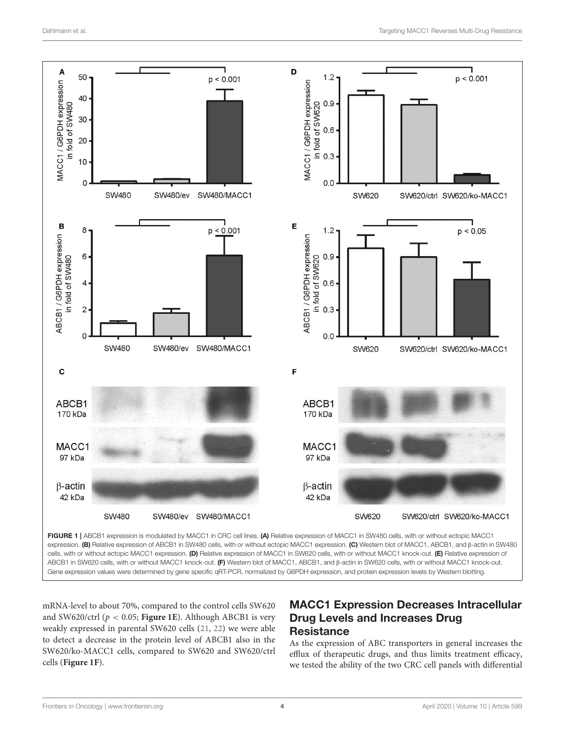

<span id="page-3-0"></span>cells, with or without ectopic MACC1 expression. (D) Relative expression of MACC1 in SW620 cells, with or without MACC1 knock-out. (E) Relative expression of ABCB1 in SW620 cells, with or without MACC1 knock-out. (F) Western blot of MACC1, ABCB1, and β-actin in SW620 cells, with or without MACC1 knock-out. Gene expression values were determined by gene specific qRT-PCR, normalized by G6PDH expression, and protein expression levels by Western blotting.

mRNA-level to about 70%, compared to the control cells SW620 and SW620/ctrl (p < 0.05; **[Figure 1E](#page-3-0)**). Although ABCB1 is very weakly expressed in parental SW620 cells [\(21,](#page-8-2) [22\)](#page-8-3) we were able to detect a decrease in the protein level of ABCB1 also in the SW620/ko-MACC1 cells, compared to SW620 and SW620/ctrl cells (**[Figure 1F](#page-3-0)**).

# MACC1 Expression Decreases Intracellular Drug Levels and Increases Drug **Resistance**

As the expression of ABC transporters in general increases the efflux of therapeutic drugs, and thus limits treatment efficacy, we tested the ability of the two CRC cell panels with differential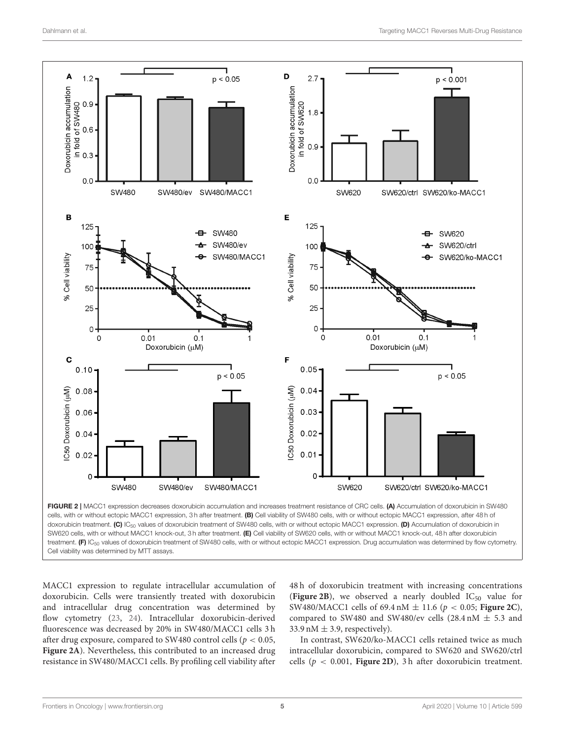

<span id="page-4-0"></span>FIGURE 2 | MACC1 expression decreases doxorubicin accumulation and increases treatment resistance of CRC cells. (A) Accumulation of doxorubicin in SW480 cells, with or without ectopic MACC1 expression, 3 h after treatment. (B) Cell viability of SW480 cells, with or without ectopic MACC1 expression, after 48 h of doxorubicin treatment. (C) IC<sub>50</sub> values of doxorubicin treatment of SW480 cells, with or without ectopic MACC1 expression. (D) Accumulation of doxorubicin in SW620 cells, with or without MACC1 knock-out, 3 h after treatment. (E) Cell viability of SW620 cells, with or without MACC1 knock-out, 48 h after doxorubicin treatment. (F) IC<sub>50</sub> values of doxorubicin treatment of SW480 cells, with or without ectopic MACC1 expression. Drug accumulation was determined by flow cytometry. Cell viability was determined by MTT assays.

MACC1 expression to regulate intracellular accumulation of doxorubicin. Cells were transiently treated with doxorubicin and intracellular drug concentration was determined by flow cytometry [\(23,](#page-8-4) [24\)](#page-8-5). Intracellular doxorubicin-derived fluorescence was decreased by 20% in SW480/MACC1 cells 3 h after drug exposure, compared to SW480 control cells ( $p < 0.05$ , **[Figure 2A](#page-4-0)**). Nevertheless, this contributed to an increased drug resistance in SW480/MACC1 cells. By profiling cell viability after 48 h of doxorubicin treatment with increasing concentrations (**[Figure 2B](#page-4-0)**), we observed a nearly doubled  $IC_{50}$  value for SW480/MACC1 cells of 69.4 nM ± 11.6 (p < 0.05; **[Figure 2C](#page-4-0)**), compared to SW480 and SW480/ev cells (28.4 nM  $\pm$  5.3 and 33.9 nM  $\pm$  3.9, respectively).

In contrast, SW620/ko-MACC1 cells retained twice as much intracellular doxorubicin, compared to SW620 and SW620/ctrl cells ( $p < 0.001$ , **[Figure 2D](#page-4-0)**), 3 h after doxorubicin treatment.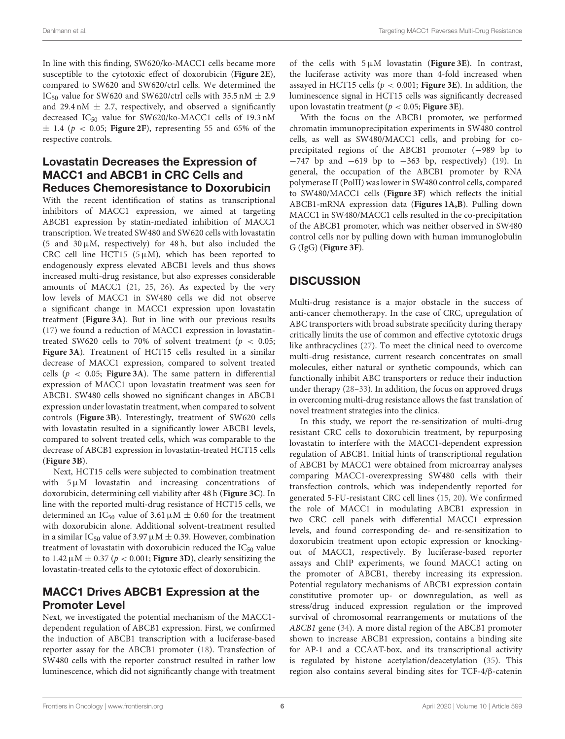In line with this finding, SW620/ko-MACC1 cells became more susceptible to the cytotoxic effect of doxorubicin (**[Figure 2E](#page-4-0)**), compared to SW620 and SW620/ctrl cells. We determined the IC<sub>50</sub> value for SW620 and SW620/ctrl cells with 35.5 nM  $\pm$  2.9 and 29.4 nM  $\pm$  2.7, respectively, and observed a significantly decreased  $IC_{50}$  value for SW620/ko-MACC1 cells of 19.3 nM  $\pm$  1.4 ( $p < 0.05$ ; **[Figure 2F](#page-4-0)**), representing 55 and 65% of the respective controls.

## Lovastatin Decreases the Expression of MACC1 and ABCB1 in CRC Cells and Reduces Chemoresistance to Doxorubicin

With the recent identification of statins as transcriptional inhibitors of MACC1 expression, we aimed at targeting ABCB1 expression by statin-mediated inhibition of MACC1 transcription. We treated SW480 and SW620 cells with lovastatin (5 and  $30 \mu$ M, respectively) for 48 h, but also included the CRC cell line HCT15 ( $5 \mu$ M), which has been reported to endogenously express elevated ABCB1 levels and thus shows increased multi-drug resistance, but also expresses considerable amounts of MACC1 [\(21,](#page-8-2) [25,](#page-8-6) [26\)](#page-8-7). As expected by the very low levels of MACC1 in SW480 cells we did not observe a significant change in MACC1 expression upon lovastatin treatment (**[Figure 3A](#page-6-0)**). But in line with our previous results [\(17\)](#page-7-14) we found a reduction of MACC1 expression in lovastatintreated SW620 cells to 70% of solvent treatment ( $p < 0.05$ ; **[Figure 3A](#page-6-0)**). Treatment of HCT15 cells resulted in a similar decrease of MACC1 expression, compared to solvent treated cells ( $p < 0.05$ ; **[Figure 3A](#page-6-0)**). The same pattern in differential expression of MACC1 upon lovastatin treatment was seen for ABCB1. SW480 cells showed no significant changes in ABCB1 expression under lovastatin treatment, when compared to solvent controls (**[Figure 3B](#page-6-0)**). Interestingly, treatment of SW620 cells with lovastatin resulted in a significantly lower ABCB1 levels, compared to solvent treated cells, which was comparable to the decrease of ABCB1 expression in lovastatin-treated HCT15 cells (**[Figure 3B](#page-6-0)**).

Next, HCT15 cells were subjected to combination treatment with  $5 \mu M$  lovastatin and increasing concentrations of doxorubicin, determining cell viability after 48 h (**[Figure 3C](#page-6-0)**). In line with the reported multi-drug resistance of HCT15 cells, we determined an IC<sub>50</sub> value of 3.61  $\mu$ M  $\pm$  0.60 for the treatment with doxorubicin alone. Additional solvent-treatment resulted in a similar IC<sub>50</sub> value of 3.97  $\mu$ M  $\pm$  0.39. However, combination treatment of lovastatin with doxorubicin reduced the  $IC_{50}$  value to  $1.42 \mu M \pm 0.37$  ( $p < 0.001$ ; **[Figure 3D](#page-6-0)**), clearly sensitizing the lovastatin-treated cells to the cytotoxic effect of doxorubicin.

# MACC1 Drives ABCB1 Expression at the Promoter Level

Next, we investigated the potential mechanism of the MACC1 dependent regulation of ABCB1 expression. First, we confirmed the induction of ABCB1 transcription with a luciferase-based reporter assay for the ABCB1 promoter [\(18\)](#page-7-15). Transfection of SW480 cells with the reporter construct resulted in rather low luminescence, which did not significantly change with treatment of the cells with 5µM lovastatin (**[Figure 3E](#page-6-0)**). In contrast, the luciferase activity was more than 4-fold increased when assayed in HCT15 cells (p < 0.001; **[Figure 3E](#page-6-0)**). In addition, the luminescence signal in HCT15 cells was significantly decreased upon lovastatin treatment (p < 0.05; **[Figure 3E](#page-6-0)**).

With the focus on the ABCB1 promoter, we performed chromatin immunoprecipitation experiments in SW480 control cells, as well as SW480/MACC1 cells, and probing for coprecipitated regions of the ABCB1 promoter (−989 bp to −747 bp and −619 bp to −363 bp, respectively) [\(19\)](#page-8-0). In general, the occupation of the ABCB1 promoter by RNA polymerase II (PolII) was lower in SW480 control cells, compared to SW480/MACC1 cells (**[Figure 3F](#page-6-0)**) which reflects the initial ABCB1-mRNA expression data (**[Figures 1A,B](#page-3-0)**). Pulling down MACC1 in SW480/MACC1 cells resulted in the co-precipitation of the ABCB1 promoter, which was neither observed in SW480 control cells nor by pulling down with human immunoglobulin G (IgG) (**[Figure 3F](#page-6-0)**).

# **DISCUSSION**

Multi-drug resistance is a major obstacle in the success of anti-cancer chemotherapy. In the case of CRC, upregulation of ABC transporters with broad substrate specificity during therapy critically limits the use of common and effective cytotoxic drugs like anthracyclines [\(27\)](#page-8-8). To meet the clinical need to overcome multi-drug resistance, current research concentrates on small molecules, either natural or synthetic compounds, which can functionally inhibit ABC transporters or reduce their induction under therapy [\(28](#page-8-9)[–33\)](#page-8-10). In addition, the focus on approved drugs in overcoming multi-drug resistance allows the fast translation of novel treatment strategies into the clinics.

In this study, we report the re-sensitization of multi-drug resistant CRC cells to doxorubicin treatment, by repurposing lovastatin to interfere with the MACC1-dependent expression regulation of ABCB1. Initial hints of transcriptional regulation of ABCB1 by MACC1 were obtained from microarray analyses comparing MACC1-overexpressing SW480 cells with their transfection controls, which was independently reported for generated 5-FU-resistant CRC cell lines [\(15,](#page-7-12) [20\)](#page-8-1). We confirmed the role of MACC1 in modulating ABCB1 expression in two CRC cell panels with differential MACC1 expression levels, and found corresponding de- and re-sensitization to doxorubicin treatment upon ectopic expression or knockingout of MACC1, respectively. By luciferase-based reporter assays and ChIP experiments, we found MACC1 acting on the promoter of ABCB1, thereby increasing its expression. Potential regulatory mechanisms of ABCB1 expression contain constitutive promoter up- or downregulation, as well as stress/drug induced expression regulation or the improved survival of chromosomal rearrangements or mutations of the ABCB1 gene [\(34\)](#page-8-11). A more distal region of the ABCB1 promoter shown to increase ABCB1 expression, contains a binding site for AP-1 and a CCAAT-box, and its transcriptional activity is regulated by histone acetylation/deacetylation [\(35\)](#page-8-12). This region also contains several binding sites for TCF-4/β-catenin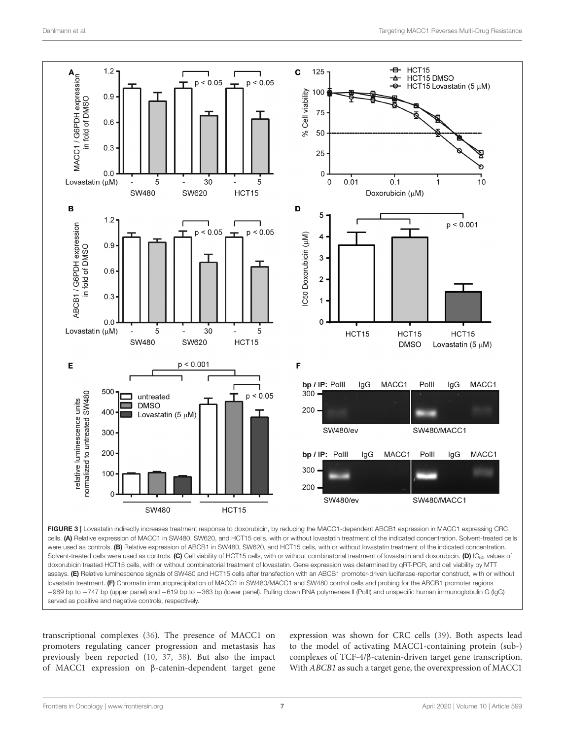

<span id="page-6-0"></span>served as positive and negative controls, respectively.

transcriptional complexes [\(36\)](#page-8-13). The presence of MACC1 on promoters regulating cancer progression and metastasis has previously been reported [\(10,](#page-7-9) [37,](#page-8-14) [38\)](#page-8-15). But also the impact of MACC1 expression on β-catenin-dependent target gene expression was shown for CRC cells [\(39\)](#page-8-16). Both aspects lead to the model of activating MACC1-containing protein (sub-) complexes of TCF-4/β-catenin-driven target gene transcription. With ABCB1 as such a target gene, the overexpression of MACC1